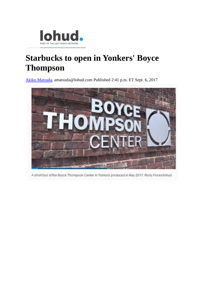

## **Starbucks to open in Yonkers' Boyce Thompson**

[Akiko Matsuda,](http://www.lohud.com/staff/15587/akiko-matsuda/) amatsuda@lohud.com Published 2:41 p.m. ET Sept. 6, 2017



A short tour of the Boyce Thompson Center in Yonkers produced in May 2017. Ricky Flores/lohud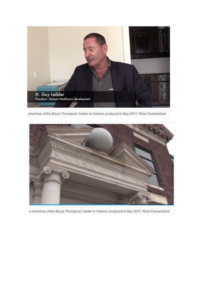

short tour of the Boyce Thompson Center in Yonkers produced in May 2017. Ricky Flores/lohud



A short tour of the Boyce Thompson Center in Yonkers produced in May 2017. Ricky Flores/lohud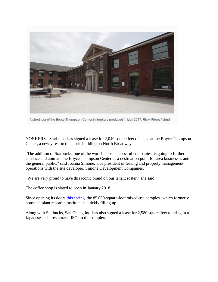

A short tour of the Boyce Thompson Center in Yonkers produced in May 2017. Ricky Flores/lohud

YONKERS - Starbucks has signed a lease for 2,049 square feet of space at the Boyce Thompson Center, a newly restored historic building on North Broadway.

"The addition of Starbucks, one of the world's most successful companies, is going to further enhance and animate the Boyce Thompson Center as a destination point for area businesses and the general public," said Joanna Simone, vice president of leasing and property management operations with the site developer, Simone Development Companies.

"We are very proud to have this iconic brand on our tenant roster," she said.

The coffee shop is slated to open in January 2018.

Since opening its doors [this spring,](http://www.lohud.com/story/news/2017/05/11/boyce-thompson-center-yonkers-opening-may-23/314362001/) the 85,000-square-foot mixed-use complex, which formerly housed a plant research institute, is quickly filling up.

Along with Starbucks, San Cheng Inc. has also signed a lease for 2,580 square feet to bring in a Japanese sushi restaurant, ISO, to the complex.